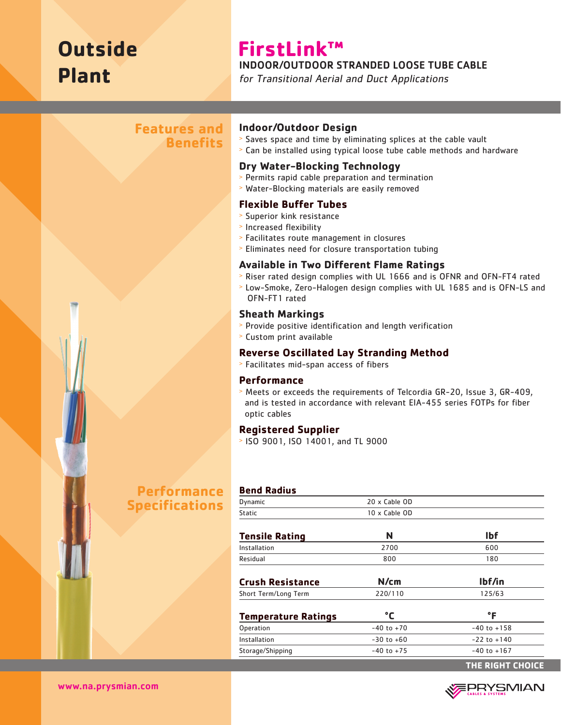# **Outside Plant**

# **FirstLink™**

INDOOR/OUTDOOR STRANDED LOOSE TUBE CABLE

for Transitional Aerial and Duct Applications

# **Features and Benefits**

#### **Indoor/Outdoor Design**

- <sup>&</sup>gt; Saves space and time by eliminating splices at the cable vault
- <sup>&</sup>gt; Can be installed using typical loose tube cable methods and hardware

#### **Dry Water-Blocking Technology**

- <sup>&</sup>gt; Permits rapid cable preparation and termination
- <sup>&</sup>gt; Water-Blocking materials are easily removed

#### **Flexible Buffer Tubes**

- <sup>&</sup>gt; Superior kink resistance
- <sup>&</sup>gt; Increased flexibility
- <sup>&</sup>gt; Facilitates route management in closures
- <sup>&</sup>gt; Eliminates need for closure transportation tubing

#### **Available in Two Different Flame Ratings**

- <sup>&</sup>gt; Riser rated design complies with UL 1666 and is OFNR and OFN-FT4 rated
- <sup>&</sup>gt; Low-Smoke, Zero-Halogen design complies with UL 1685 and is OFN-LS and OFN-FT1 rated

#### **Sheath Markings**

- <sup>&</sup>gt; Provide positive identification and length verification
- <sup>&</sup>gt; Custom print available

#### **Reverse Oscillated Lay Stranding Method**

<sup>&</sup>gt; Facilitates mid-span access of fibers

#### **Performance**

<sup>&</sup>gt; Meets or exceeds the requirements of Telcordia GR-20, Issue 3, GR-409, and is tested in accordance with relevant EIA-455 series FOTPs for fiber optic cables

#### **Registered Supplier**

<sup>&</sup>gt; ISO 9001, ISO 14001, and TL 9000

# **Performance Specifications**

| <b>Bend Radius</b>         |                |                  |
|----------------------------|----------------|------------------|
| Dynamic                    | 20 x Cable OD  |                  |
| <b>Static</b>              | 10 x Cable OD  |                  |
| <b>Tensile Rating</b>      | N              | <b>Ibf</b>       |
| Installation               | 2700           | 600              |
| Residual                   | 800            | 180              |
| <b>Crush Resistance</b>    | N/cm           | lbf/in           |
| Short Term/Long Term       | 220/110        | 125/63           |
| <b>Temperature Ratings</b> | °C             | $\mathsf{P}$     |
| Operation                  | $-40$ to $+70$ | $-40$ to $+158$  |
| Installation               | $-30$ to $+60$ | $-22$ to $+140$  |
| Storage/Shipping           | $-40$ to $+75$ | $-40$ to $+167$  |
|                            |                | THE RIGHT CHOICE |



www.na.prysmian.com